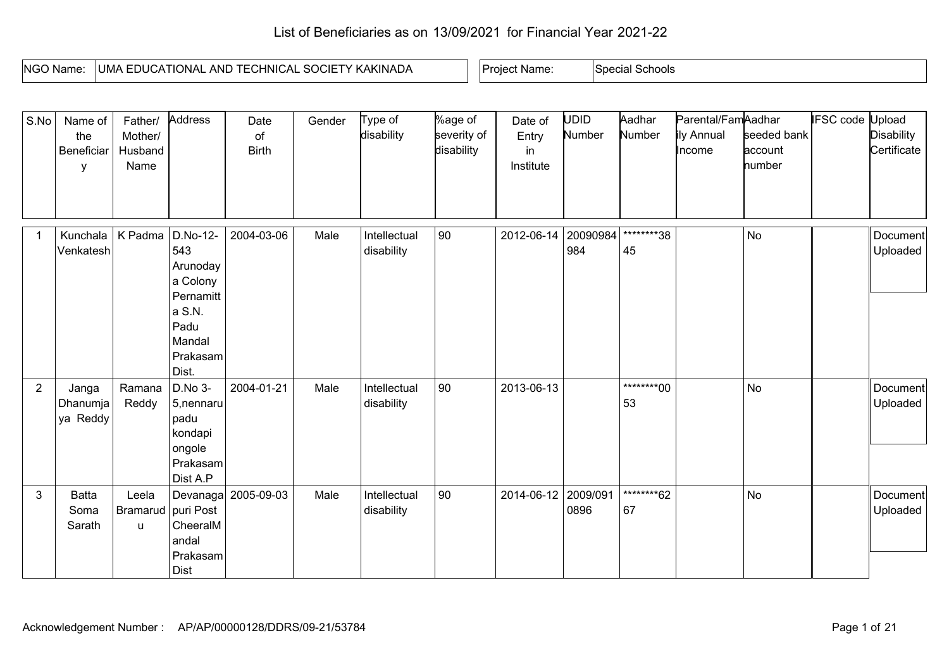## List of Beneficiaries as on 13/09/2021 for Financial Year 2021-22

| NGO Name. | KAKINADA<br>'NICAL<br>$\sqrt{ }$<br>. IONAL.<br>ANL<br>. JMA '<br>. DUGA '<br>, יגי<br>$\sim$ $\sim$<br>. | Name:<br>Proie | Schools<br>Special |
|-----------|-----------------------------------------------------------------------------------------------------------|----------------|--------------------|

| S.No           | Name of<br>the<br>Beneficiar<br>У | Father/<br>Mother/<br>Husband<br>Name | Address                                                                                               | Date<br>of<br><b>Birth</b> | Gender | Type of<br>disability      | %age of<br>severity of<br>disability | Date of<br>Entry<br>in<br>Institute | UDID.<br>Number  | Aadhar<br>Number  | Parental/FamAadhar<br>ily Annual<br>Income | seeded bank<br>account<br>number | <b>IFSC code Upload</b> | <b>Disability</b><br>Certificate |
|----------------|-----------------------------------|---------------------------------------|-------------------------------------------------------------------------------------------------------|----------------------------|--------|----------------------------|--------------------------------------|-------------------------------------|------------------|-------------------|--------------------------------------------|----------------------------------|-------------------------|----------------------------------|
|                | Kunchala<br>Venkatesh             | K Padma                               | D.No-12-<br>543<br>Arunoday<br>a Colony<br>Pernamitt<br>a S.N.<br>Padu<br>Mandal<br>Prakasam<br>Dist. | 2004-03-06                 | Male   | Intellectual<br>disability | 90                                   | $2012 - 06 - 14$                    | 20090984<br>984  | *********38<br>45 |                                            | <b>No</b>                        |                         | Document<br>Uploaded             |
| $\overline{2}$ | Janga<br>Dhanumja<br>ya Reddy     | Ramana<br>Reddy                       | D.No 3-<br>5, nennaru<br>padu<br>kondapi<br>ongole<br>Prakasam<br>Dist A.P                            | 2004-01-21                 | Male   | Intellectual<br>disability | 90                                   | 2013-06-13                          |                  | ********00<br>53  |                                            | <b>No</b>                        |                         | Document<br>Uploaded             |
| $\mathbf{3}$   | <b>Batta</b><br>Soma<br>Sarath    | Leela<br>Bramarud   puri Post<br>u    | CheeralM<br>andal<br>Prakasam<br><b>Dist</b>                                                          | Devanaga 2005-09-03        | Male   | Intellectual<br>disability | 90                                   | 2014-06-12                          | 2009/091<br>0896 | ********62<br>67  |                                            | No                               |                         | Document<br>Uploaded             |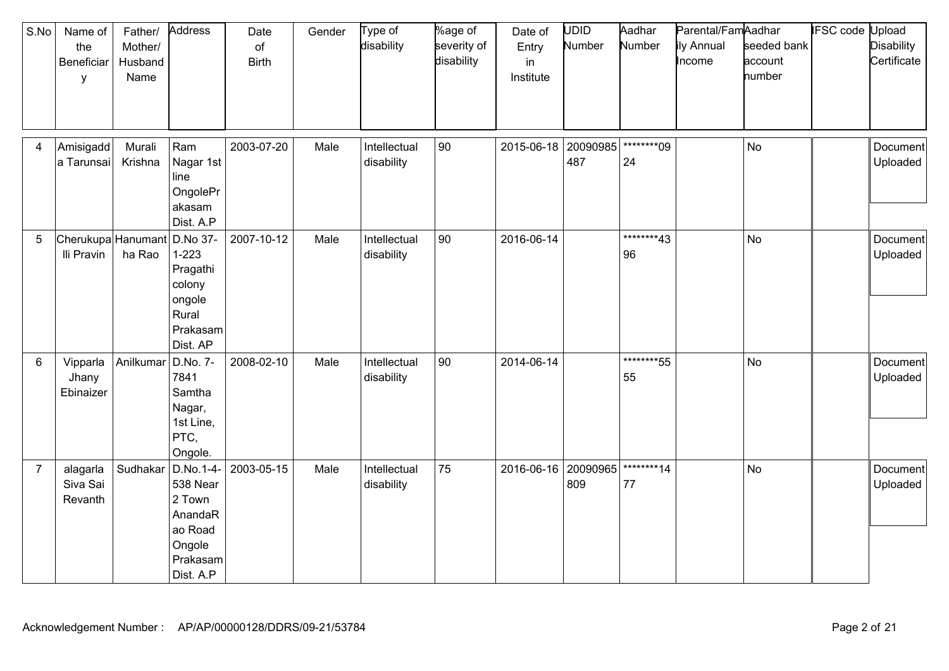| S.No           | Name of<br>the<br>Beneficiar<br>y | Father/<br>Mother/<br>Husband<br>Name | Address                                                                                  | Date<br>of<br><b>Birth</b> | Gender | Type of<br>disability      | %age of<br>severity of<br>disability | Date of<br>Entry<br>in<br>Institute | <b>UDID</b><br>Number | Aadhar<br>Number   | Parental/FamAadhar<br>ily Annual<br>Income | seeded bank<br>account<br>number | <b>IFSC code Upload</b> | <b>Disability</b><br>Certificate |
|----------------|-----------------------------------|---------------------------------------|------------------------------------------------------------------------------------------|----------------------------|--------|----------------------------|--------------------------------------|-------------------------------------|-----------------------|--------------------|--------------------------------------------|----------------------------------|-------------------------|----------------------------------|
| 4              | Amisigadd<br>a Tarunsai           | Murali<br>Krishna                     | Ram<br>Nagar 1st<br>line<br>OngolePr<br>akasam<br>Dist. A.P                              | 2003-07-20                 | Male   | Intellectual<br>disability | 90                                   | 2015-06-18                          | 20090985<br>487       | *********09<br>24  |                                            | <b>No</b>                        |                         | Document<br>Uploaded             |
| 5              | Cherukupa Hanumant<br>Ili Pravin  | ha Rao                                | D.No 37-<br>$1 - 223$<br>Pragathi<br>colony<br>ongole<br>Rural<br>Prakasam<br>Dist. AP   | 2007-10-12                 | Male   | Intellectual<br>disability | 90                                   | 2016-06-14                          |                       | *********43<br>96  |                                            | <b>No</b>                        |                         | Document<br>Uploaded             |
| $6\phantom{1}$ | Vipparla<br>Jhany<br>Ebinaizer    | Anilkumar                             | D.No. 7-<br>7841<br>Samtha<br>Nagar,<br>1st Line,<br>PTC,<br>Ongole.                     | 2008-02-10                 | Male   | Intellectual<br>disability | 90                                   | 2014-06-14                          |                       | *********55<br>55  |                                            | <b>No</b>                        |                         | Document<br>Uploaded             |
| $\overline{7}$ | alagarla<br>Siva Sai<br>Revanth   | Sudhakar                              | D.No.1-4-<br>538 Near<br>2 Town<br>AnandaR<br>ao Road<br>Ongole<br>Prakasam<br>Dist. A.P | 2003-05-15                 | Male   | Intellectual<br>disability | 75                                   | 2016-06-16                          | 20090965<br>809       | ********14<br>$77$ |                                            | <b>No</b>                        |                         | Document<br>Uploaded             |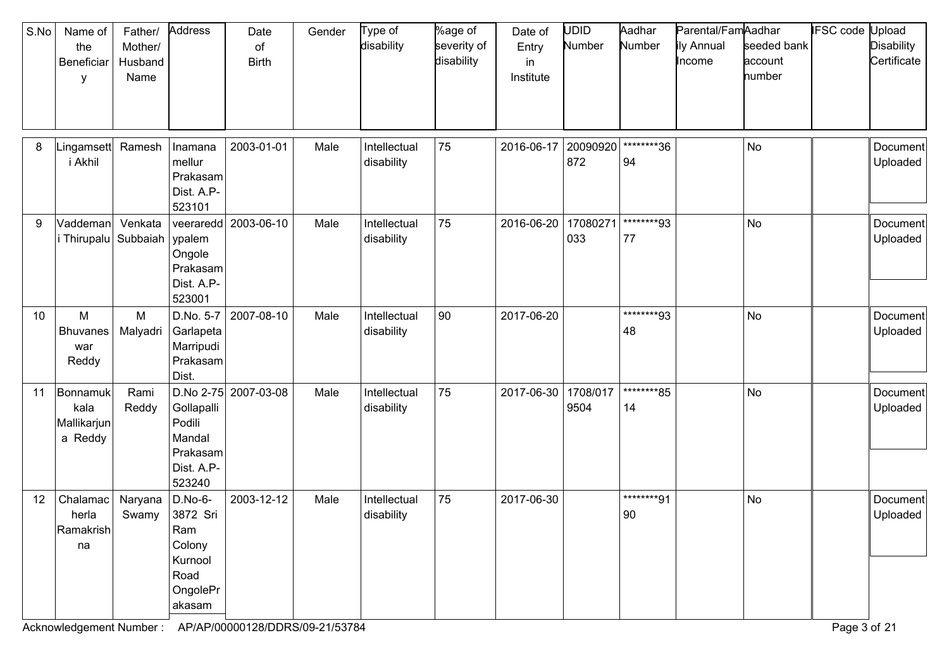| S.No | Name of<br>the<br>Beneficiar<br>y          | Father/<br>Mother/<br>Husband<br>Name | Address                                                                         | Date<br>of<br><b>Birth</b> | Gender | Type of<br>disability      | %age of<br>severity of<br>disability | Date of<br>Entry<br>in<br>Institute | UDID<br>Number   | Aadhar<br>Number | Parental/FamAadhar<br>ily Annual<br>Income | seeded bank<br>account<br>number | IFSC code | Upload<br><b>Disability</b><br>Certificate |
|------|--------------------------------------------|---------------------------------------|---------------------------------------------------------------------------------|----------------------------|--------|----------------------------|--------------------------------------|-------------------------------------|------------------|------------------|--------------------------------------------|----------------------------------|-----------|--------------------------------------------|
| 8    | Lingamsett<br>i Akhil                      | Ramesh                                | Inamana<br>mellur<br>Prakasam<br>Dist. A.P-<br>523101                           | 2003-01-01                 | Male   | Intellectual<br>disability | 75                                   | 2016-06-17                          | 20090920<br>872  | ********36<br>94 |                                            | No                               |           | Document<br>Uploaded                       |
| 9    | Vaddeman<br>i Thirupalu Subbaiah           | Venkata                               | veeraredd<br>ypalem<br>Ongole<br>Prakasam<br>Dist. A.P-<br>523001               | 2003-06-10                 | Male   | Intellectual<br>disability | 75                                   | 2016-06-20                          | 17080271<br>033  | ********93<br>77 |                                            | No                               |           | Document<br>Uploaded                       |
| 10   | M<br><b>Bhuvanes</b><br>war<br>Reddy       | M<br>Malyadri                         | D.No. 5-7<br>Garlapeta<br>Marripudi<br>Prakasam<br>Dist.                        | 2007-08-10                 | Male   | Intellectual<br>disability | 90                                   | 2017-06-20                          |                  | ********93<br>48 |                                            | No                               |           | Document<br>Uploaded                       |
| 11   | Bonnamuk<br>kala<br>Mallikarjun<br>a Reddy | Rami<br>Reddy                         | Gollapalli<br>Podili<br>Mandal<br>Prakasam<br>Dist. A.P-<br>523240              | D.No 2-75 2007-03-08       | Male   | Intellectual<br>disability | 75                                   | 2017-06-30                          | 1708/017<br>9504 | ********85<br>14 |                                            | <b>No</b>                        |           | Document<br>Uploaded                       |
| 12   | Chalamac<br>herla<br>Ramakrish<br>na       | Naryana<br>Swamy                      | $D.No-6-$<br>3872 Sri<br>Ram<br>Colony<br>Kurnool<br>Road<br>OngolePr<br>akasam | 2003-12-12                 | Male   | Intellectual<br>disability | 75                                   | 2017-06-30                          |                  | ********91<br>90 |                                            | <b>No</b>                        |           | Document<br>Uploaded                       |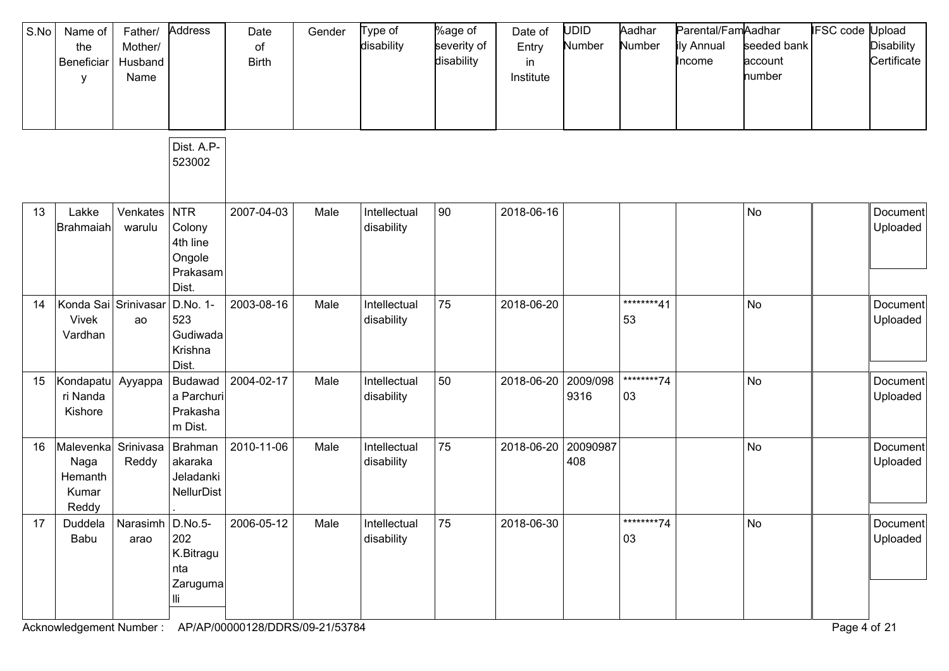| S.No | Name of<br>the<br>Beneficiar<br>у                        | Father/<br>Mother/<br>Husband<br>Name | Address                                                  | Date<br>of<br><b>Birth</b> | Gender | Type of<br>disability      | %age of<br>severity of<br>disability | Date of<br>Entry<br>in<br>Institute | <b>UDID</b><br>Number | Aadhar<br>Number  | Parental/FamAadhar<br>ily Annual<br>Income | seeded bank<br>account<br>number | <b>IFSC</b> code | Jpload<br><b>Disability</b><br>Certificate |
|------|----------------------------------------------------------|---------------------------------------|----------------------------------------------------------|----------------------------|--------|----------------------------|--------------------------------------|-------------------------------------|-----------------------|-------------------|--------------------------------------------|----------------------------------|------------------|--------------------------------------------|
|      |                                                          |                                       | Dist. A.P-<br>523002                                     |                            |        |                            |                                      |                                     |                       |                   |                                            |                                  |                  |                                            |
| 13   | Lakke<br>Brahmaiah                                       | Venkates<br>warulu                    | NTR<br>Colony<br>4th line<br>Ongole<br>Prakasam<br>Dist. | 2007-04-03                 | Male   | Intellectual<br>disability | 90                                   | 2018-06-16                          |                       |                   |                                            | No                               |                  | Document<br>Uploaded                       |
| 14   | Konda Sai Srinivasar<br>Vivek<br>Vardhan                 | ao                                    | D.No. 1-<br>523<br>Gudiwada<br>Krishna<br>Dist.          | 2003-08-16                 | Male   | Intellectual<br>disability | 75                                   | 2018-06-20                          |                       | ********41<br>53  |                                            | No                               |                  | Document<br>Uploaded                       |
| 15   | Kondapatu Ayyappa<br>ri Nanda<br>Kishore                 |                                       | <b>Budawad</b><br>a Parchuri<br>Prakasha<br>m Dist.      | 2004-02-17                 | Male   | Intellectual<br>disability | 50                                   | 2018-06-20                          | 2009/098<br>9316      | *********74<br>03 |                                            | No                               |                  | Document<br>Uploaded                       |
| 16   | Malevenka Srinivasa<br>Naga<br>Hemanth<br>Kumar<br>Reddy | Reddy                                 | Brahman<br>akaraka<br>Jeladanki<br><b>NellurDist</b>     | 2010-11-06                 | Male   | Intellectual<br>disability | 75                                   | 2018-06-20                          | 20090987<br>408       |                   |                                            | No                               |                  | Document<br>Uploaded                       |
| 17   | Babu                                                     | Duddela   Narasimh   D.No.5-<br>arao  | 202<br>K.Bitragu<br>nta<br>Zaruguma<br>Шi                | 2006-05-12                 | Male   | Intellectual<br>disability | 75                                   | 2018-06-30                          |                       | ********74<br>03  |                                            | No                               |                  | Document<br>Uploaded                       |

Acknowledgement Number : AP/AP/00000128/DDRS/09-21/53784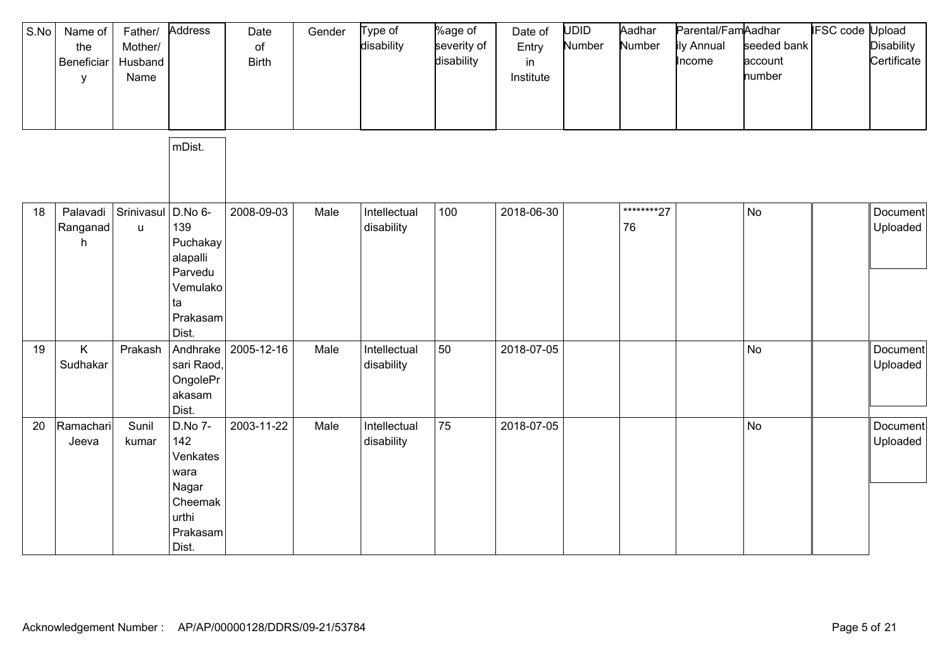| S.No | Name of<br>the<br>Beneficiar<br>у | Father/<br>Mother/<br>Husband<br>Name | Address                                                                              | Date<br>of<br><b>Birth</b> | Gender | Type of<br>disability      | %age of<br>severity of<br>disability | Date of<br>Entry<br>in<br>Institute | UDID<br>Number | Aadhar<br>Number | Parental/FamAadhar<br>ily Annual<br>Income | seeded bank<br>account<br>number | <b>IFSC code Upload</b> | <b>Disability</b><br>Certificate |
|------|-----------------------------------|---------------------------------------|--------------------------------------------------------------------------------------|----------------------------|--------|----------------------------|--------------------------------------|-------------------------------------|----------------|------------------|--------------------------------------------|----------------------------------|-------------------------|----------------------------------|
|      |                                   |                                       | mDist.                                                                               |                            |        |                            |                                      |                                     |                |                  |                                            |                                  |                         |                                  |
| 18   | Palavadi<br>Ranganad<br>h         | Srinivasul D.No 6-<br>$\sf u$         | 139<br>Puchakay<br>alapalli<br>Parvedu<br>Vemulako<br>ta<br>Prakasam<br>Dist.        | 2008-09-03                 | Male   | Intellectual<br>disability | 100                                  | 2018-06-30                          |                | ********27<br>76 |                                            | <b>No</b>                        |                         | Document<br>Uploaded             |
| 19   | K<br>Sudhakar                     | Prakash                               | Andhrake<br>sari Raod,<br>OngolePr<br>akasam<br>Dist.                                | 2005-12-16                 | Male   | Intellectual<br>disability | 50                                   | 2018-07-05                          |                |                  |                                            | No                               |                         | Document<br>Uploaded             |
| 20   | Ramachari<br>Jeeva                | Sunil<br>kumar                        | D.No 7-<br>142<br>Venkates<br>wara<br>Nagar<br>Cheemak<br>urthi<br>Prakasam<br>Dist. | 2003-11-22                 | Male   | Intellectual<br>disability | 75                                   | 2018-07-05                          |                |                  |                                            | <b>No</b>                        |                         | Document<br>Uploaded             |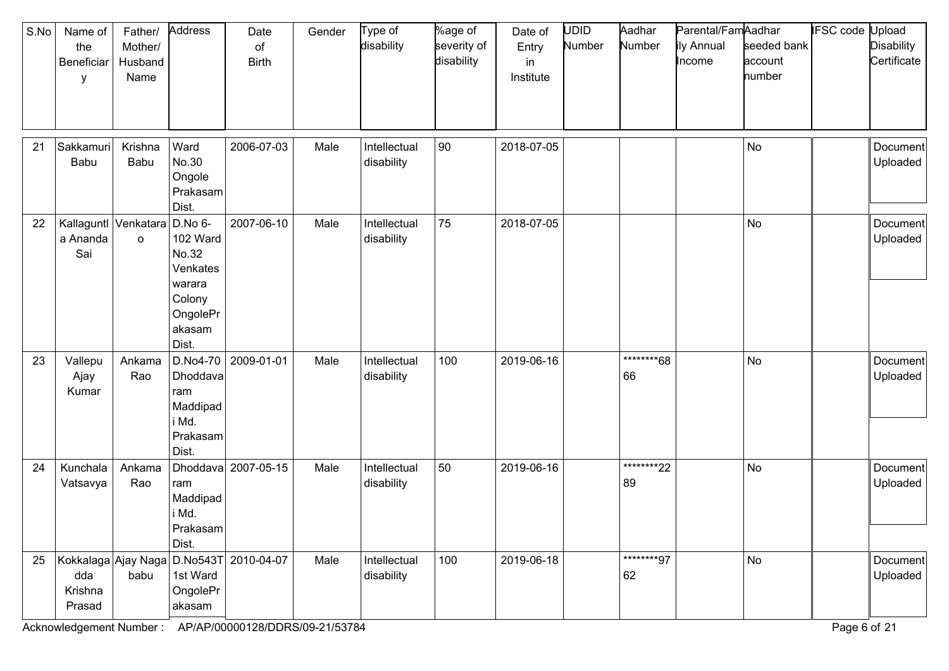| S.No<br>21 | Name of<br>the<br>Beneficiar<br>y<br>Sakkamuri<br>Babu | Father/<br>Mother/<br>Husband<br>Name<br>Krishna<br>Babu | Address<br>Ward<br>No.30                                                         | Date<br>of<br><b>Birth</b><br>2006-07-03 | Gender<br>Male | Type of<br>disability<br>Intellectual | %age of<br>severity of<br>disability<br>90 | Date of<br>Entry<br>in<br>Institute<br>2018-07-05 | <b>UDID</b><br>Number | Aadhar<br>Number | Parental/FamAadhar<br>ily Annual<br>Income | seeded bank<br>account<br>number<br>No | <b>IFSC</b> code | Upload<br><b>Disability</b><br>Certificate<br>Document<br>Uploaded |
|------------|--------------------------------------------------------|----------------------------------------------------------|----------------------------------------------------------------------------------|------------------------------------------|----------------|---------------------------------------|--------------------------------------------|---------------------------------------------------|-----------------------|------------------|--------------------------------------------|----------------------------------------|------------------|--------------------------------------------------------------------|
|            |                                                        |                                                          | Ongole<br>Prakasam<br>Dist.                                                      |                                          |                | disability                            |                                            |                                                   |                       |                  |                                            |                                        |                  |                                                                    |
| 22         | a Ananda<br>Sai                                        | Kallaguntl Venkatara D.No 6-<br>$\circ$                  | 102 Ward<br>No.32<br>Venkates<br>warara<br>Colony<br>OngolePr<br>akasam<br>Dist. | 2007-06-10                               | Male           | Intellectual<br>disability            | 75                                         | 2018-07-05                                        |                       |                  |                                            | <b>No</b>                              |                  | Document<br>Uploaded                                               |
| 23         | Vallepu<br>Ajay<br>Kumar                               | Ankama<br>Rao                                            | $D.No4-70$<br>Dhoddava<br>ram<br>Maddipad<br>i Md.<br>Prakasam<br>Dist.          | 2009-01-01                               | Male           | Intellectual<br>disability            | 100                                        | 2019-06-16                                        |                       | ********68<br>66 |                                            | No                                     |                  | Document<br>Uploaded                                               |
| 24         | Kunchala<br>Vatsavya                                   | Ankama<br>Rao                                            | ram<br>Maddipad<br>i Md.<br>Prakasam<br>Dist.                                    | Dhoddava 2007-05-15                      | Male           | Intellectual<br>disability            | 50                                         | 2019-06-16                                        |                       | ********22<br>89 |                                            | <b>No</b>                              |                  | Document<br>Uploaded                                               |
| 25         | Kokkalaga Ajay Naga<br>dda<br>Krishna<br>Prasad        | babu                                                     | 1st Ward<br>OngolePr<br>akasam                                                   | D.No543T 2010-04-07                      | Male           | Intellectual<br>disability            | 100                                        | 2019-06-18                                        |                       | ********97<br>62 |                                            | No                                     |                  | Document<br>Uploaded                                               |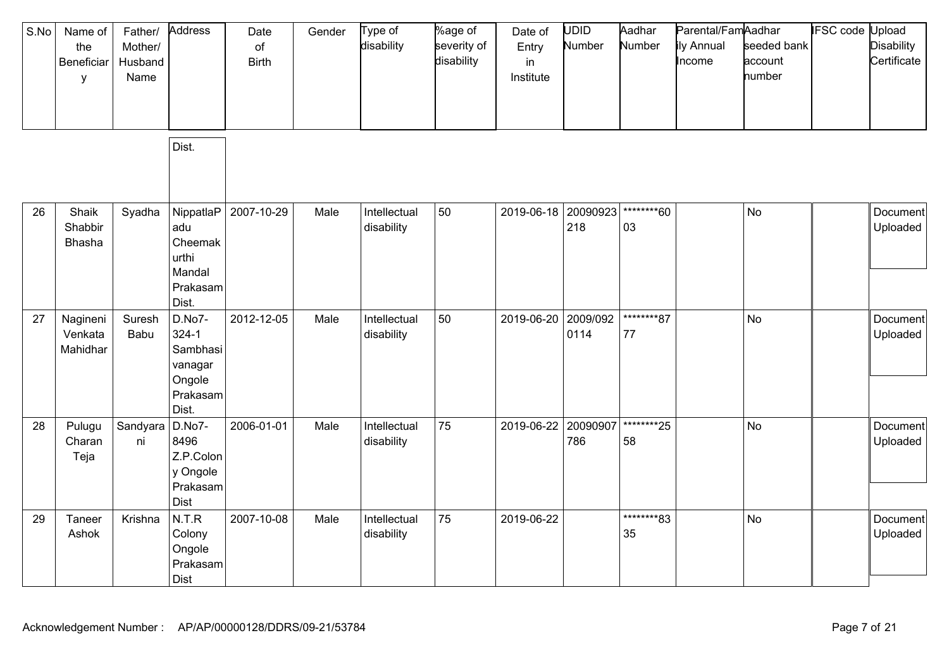| S.No | Name of<br>the<br>Beneficiar<br>У | Father/<br>Mother/<br>Husband<br>Name | Address                                                                   | Date<br>of<br><b>Birth</b> | Gender | Type of<br>disability      | %age of<br>severity of<br>disability | Date of<br>Entry<br>in<br>Institute | UDID<br>Number   | Aadhar<br>Number  | Parental/FamAadhar<br>ily Annual<br>Income | seeded bank<br>account<br>number | <b>IFSC code Upload</b> | <b>Disability</b><br>Certificate |
|------|-----------------------------------|---------------------------------------|---------------------------------------------------------------------------|----------------------------|--------|----------------------------|--------------------------------------|-------------------------------------|------------------|-------------------|--------------------------------------------|----------------------------------|-------------------------|----------------------------------|
|      |                                   |                                       | Dist.                                                                     |                            |        |                            |                                      |                                     |                  |                   |                                            |                                  |                         |                                  |
| 26   | Shaik<br>Shabbir<br>Bhasha        | Syadha                                | NippatlaP<br>adu<br>Cheemak<br>urthi<br>Mandal<br>Prakasam<br>Dist.       | 2007-10-29                 | Male   | Intellectual<br>disability | 50                                   | 2019-06-18 20090923                 | 218              | ********60<br>03  |                                            | <b>No</b>                        |                         | Document<br>Uploaded             |
| 27   | Nagineni<br>Venkata<br>Mahidhar   | Suresh<br>Babu                        | D.No7-<br>$324 - 1$<br>Sambhasi<br>vanagar<br>Ongole<br>Prakasam<br>Dist. | 2012-12-05                 | Male   | Intellectual<br>disability | 50                                   | 2019-06-20                          | 2009/092<br>0114 | ********87<br>77  |                                            | <b>No</b>                        |                         | Document<br>Uploaded             |
| 28   | Pulugu<br>Charan<br>Teja          | Sandyara<br>ni                        | D.No7-<br>8496<br>Z.P.Colon<br>y Ongole<br>Prakasam<br>Dist               | 2006-01-01                 | Male   | Intellectual<br>disability | 75                                   | 2019-06-22                          | 20090907<br>786  | *********25<br>58 |                                            | <b>No</b>                        |                         | Document<br>Uploaded             |
| 29   | Taneer<br>Ashok                   | Krishna                               | N.T.R<br>Colony<br>Ongole<br>Prakasam<br><b>Dist</b>                      | 2007-10-08                 | Male   | Intellectual<br>disability | 75                                   | 2019-06-22                          |                  | ********83<br>35  |                                            | <b>No</b>                        |                         | Document<br>Uploaded             |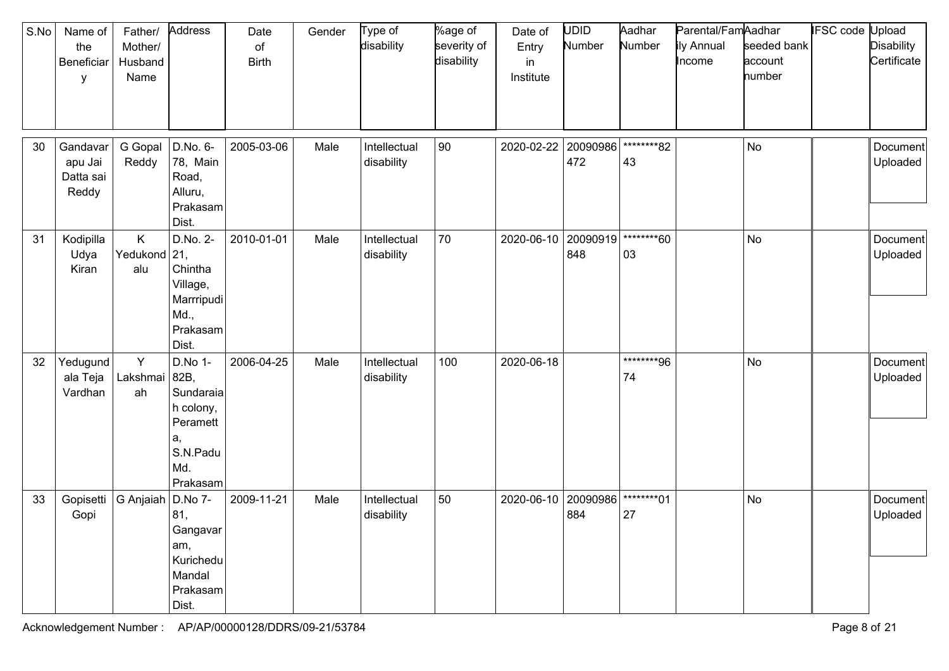| S.No | Name of<br>the<br>Beneficiar<br>у         | Father/<br>Mother/<br>Husband<br>Name | Address                                                                                    | Date<br>of<br><b>Birth</b> | Gender | Type of<br>disability      | %age of<br>severity of<br>disability | Date of<br>Entry<br>in<br>Institute | <b>UDID</b><br>Number | Aadhar<br>Number | Parental/FamAadhar<br>ily Annual<br>Income | seeded bank<br>account<br>number | IFSC code | Jpload<br><b>Disability</b><br>Certificate |
|------|-------------------------------------------|---------------------------------------|--------------------------------------------------------------------------------------------|----------------------------|--------|----------------------------|--------------------------------------|-------------------------------------|-----------------------|------------------|--------------------------------------------|----------------------------------|-----------|--------------------------------------------|
| 30   | Gandavar<br>apu Jai<br>Datta sai<br>Reddy | G Gopal<br>Reddy                      | D.No. 6-<br>78, Main<br>Road,<br>Alluru,<br>Prakasam<br>Dist.                              | 2005-03-06                 | Male   | Intellectual<br>disability | 90                                   | 2020-02-22                          | 20090986<br>472       | ********82<br>43 |                                            | No                               |           | Document<br>Uploaded                       |
| 31   | Kodipilla<br>Udya<br>Kiran                | K.<br>Yedukond 21,<br>alu             | D.No. 2-<br>Chintha<br>Village,<br>Marrripudi<br>Md.,<br>Prakasam<br>Dist.                 | 2010-01-01                 | Male   | Intellectual<br>disability | 70                                   | 2020-06-10                          | 20090919<br>848       | ********60<br>03 |                                            | <b>No</b>                        |           | Document<br>Uploaded                       |
| 32   | Yedugund<br>ala Teja<br>Vardhan           | Y<br>Lakshmai<br>ah                   | D.No 1-<br>82B,<br>Sundaraia<br>h colony,<br>Peramett<br>a,<br>S.N.Padu<br>Md.<br>Prakasam | 2006-04-25                 | Male   | Intellectual<br>disability | 100                                  | 2020-06-18                          |                       | ********96<br>74 |                                            | No                               |           | Document<br>Uploaded                       |
| 33   | Gopisetti<br>Gopi                         | G Anjaiah                             | D.No 7-<br>81,<br>Gangavar<br>am,<br>Kurichedu<br>Mandal<br>Prakasam<br>Dist.              | 2009-11-21                 | Male   | Intellectual<br>disability | 50                                   | 2020-06-10                          | 20090986<br>884       | ********01<br>27 |                                            | No                               |           | Document<br>Uploaded                       |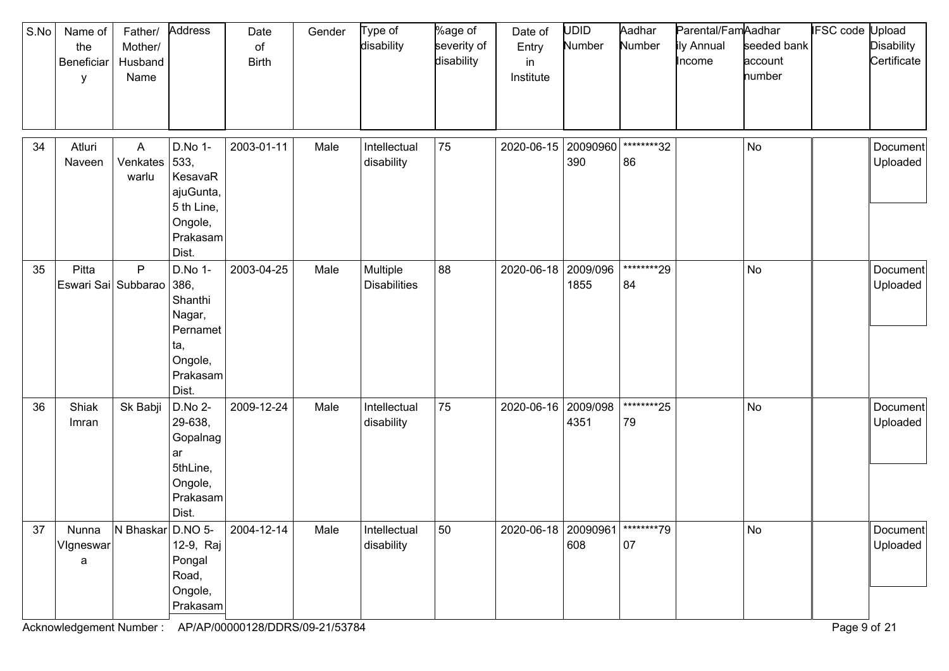| S.No | Name of<br>the<br>Beneficiar<br>y                  | Father/<br>Mother/<br>Husband<br>Name | Address                                                                                 | Date<br>of<br><b>Birth</b> | Gender | Type of<br>disability           | %age of<br>severity of<br>disability | Date of<br>Entry<br>in<br>Institute | <b>UDID</b><br>Number | Aadhar<br>Number  | Parental/FamAadhar<br>ily Annual<br>Income | seeded bank<br>account<br>number | <b>IFSC</b> code Upload | <b>Disability</b><br>Certificate |
|------|----------------------------------------------------|---------------------------------------|-----------------------------------------------------------------------------------------|----------------------------|--------|---------------------------------|--------------------------------------|-------------------------------------|-----------------------|-------------------|--------------------------------------------|----------------------------------|-------------------------|----------------------------------|
| 34   | Atluri<br>Naveen                                   | A<br>Venkates<br>warlu                | D.No 1-<br>533,<br>KesavaR<br>ajuGunta,<br>5 th Line,<br>Ongole,<br>Prakasam<br>Dist.   | 2003-01-11                 | Male   | Intellectual<br>disability      | 75                                   | 2020-06-15                          | 20090960<br>390       | ********32<br>86  |                                            | No                               |                         | Document<br>Uploaded             |
| 35   | Pitta<br>Eswari Sai Subbarao                       | P                                     | D.No 1-<br>386,<br>Shanthi<br>Nagar,<br>Pernamet<br>ta,<br>Ongole,<br>Prakasam<br>Dist. | 2003-04-25                 | Male   | Multiple<br><b>Disabilities</b> | 88                                   | 2020-06-18                          | 2009/096<br>1855      | *********29<br>84 |                                            | No                               |                         | Document<br>Uploaded             |
| 36   | Shiak<br>Imran                                     | Sk Babji                              | D.No 2-<br>29-638,<br>Gopalnag<br>ar<br>5thLine,<br>Ongole,<br>Prakasam<br>Dist.        | 2009-12-24                 | Male   | Intellectual<br>disability      | 75                                   | 2020-06-16 2009/098                 | 4351                  | *********25<br>79 |                                            | No                               |                         | Document<br>Uploaded             |
|      | 37   Nunna   N Bhaskar   D.NO 5-<br>Vigneswar<br>a |                                       | 12-9, Raj<br>Pongal<br>Road,<br>Ongole,<br>Prakasam                                     | $ 2004 - 12 - 14 $         | Male   | Intellectual<br>disability      | 50                                   | 2020-06-18 20090961 ********79      | 608                   | 07                |                                            | No                               |                         | Document<br>Uploaded             |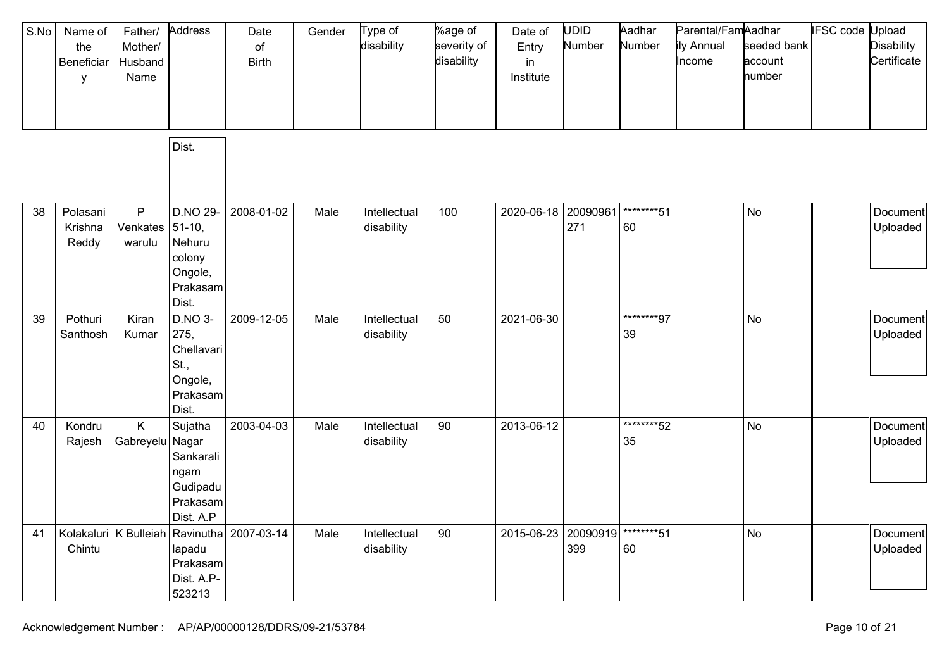| S.No | Name of<br>the<br>Beneficiar<br>y | Father/<br>Mother/<br>Husband<br>Name | Address                                                                    | Date<br>of<br><b>Birth</b>                       | Gender | Type of<br>disability      | %age of<br>severity of<br>disability | Date of<br>Entry<br>in<br>Institute | UDID<br>Number  | Aadhar<br>Number  | Parental/FamAadhar<br>ily Annual<br>Income | seeded bank<br>account<br>number | <b>IFSC code Upload</b> | <b>Disability</b><br>Certificate |
|------|-----------------------------------|---------------------------------------|----------------------------------------------------------------------------|--------------------------------------------------|--------|----------------------------|--------------------------------------|-------------------------------------|-----------------|-------------------|--------------------------------------------|----------------------------------|-------------------------|----------------------------------|
|      |                                   |                                       | Dist.                                                                      |                                                  |        |                            |                                      |                                     |                 |                   |                                            |                                  |                         |                                  |
| 38   | Polasani<br>Krishna<br>Reddy      | P<br>Venkates<br>warulu               | D.NO 29-<br>$51-10,$<br>Nehuru<br>colony<br>Ongole,<br>Prakasam<br>Dist.   | 2008-01-02                                       | Male   | Intellectual<br>disability | 100                                  | 2020-06-18                          | 20090961<br>271 | ********51<br>60  |                                            | No                               |                         | Document<br>Uploaded             |
| 39   | Pothuri<br>Santhosh               | Kiran<br>Kumar                        | D.NO 3-<br>275,<br>Chellavari<br>St.,<br>Ongole,<br>Prakasam<br>Dist.      | 2009-12-05                                       | Male   | Intellectual<br>disability | 50                                   | 2021-06-30                          |                 | ********97<br>39  |                                            | No                               |                         | Document<br>Uploaded             |
| 40   | Kondru<br>Rajesh                  | K.<br>Gabreyelu                       | Sujatha<br>Nagar<br>Sankarali<br>ngam<br>Gudipadu<br>Prakasam<br>Dist. A.P | 2003-04-03                                       | Male   | Intellectual<br>disability | 90                                   | 2013-06-12                          |                 | ********52<br>35  |                                            | <b>No</b>                        |                         | Document<br>Uploaded             |
| 41   | Chintu                            |                                       | lapadu<br>Prakasam<br>Dist. A.P-<br>523213                                 | Kolakaluri   K Bulleiah   Ravinutha   2007-03-14 | Male   | Intellectual<br>disability | 90                                   | 2015-06-23                          | 20090919<br>399 | *********51<br>60 |                                            | <b>No</b>                        |                         | Document<br>Uploaded             |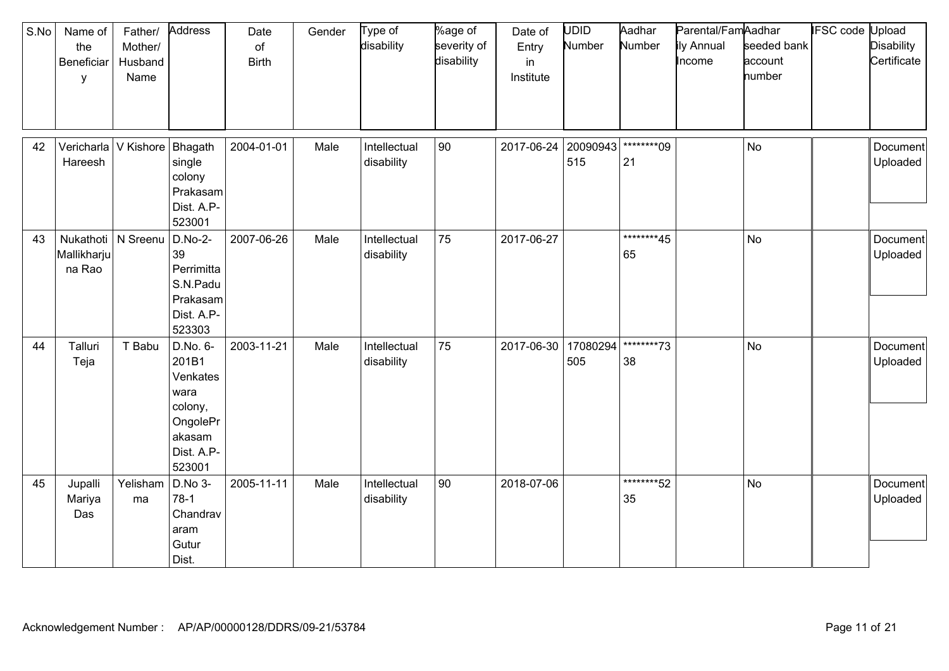| S.No | Name of<br>the<br>Beneficiar<br>y             | Father/<br>Mother/<br>Husband<br>Name | Address                                                                                        | Date<br>of<br><b>Birth</b> | Gender | Type of<br>disability      | %age of<br>severity of<br>disability | Date of<br>Entry<br>in<br>Institute | UDID<br>Number  | Aadhar<br>Number  | Parental/FamAadhar<br>ily Annual<br>Income | seeded bank<br>account<br>number | <b>IFSC code Upload</b> | <b>Disability</b><br>Certificate |
|------|-----------------------------------------------|---------------------------------------|------------------------------------------------------------------------------------------------|----------------------------|--------|----------------------------|--------------------------------------|-------------------------------------|-----------------|-------------------|--------------------------------------------|----------------------------------|-------------------------|----------------------------------|
| 42   | Hareesh                                       | Vericharla V Kishore                  | Bhagath<br>single<br>colony<br>Prakasam<br>Dist. A.P-<br>523001                                | 2004-01-01                 | Male   | Intellectual<br>disability | 90                                   | 2017-06-24                          | 20090943<br>515 | ********09<br>21  |                                            | <b>No</b>                        |                         | Document<br>Uploaded             |
| 43   | Nukathoti   N Sreenu<br>Mallikharju<br>na Rao |                                       | $D.No-2-$<br>39<br>Perrimitta<br>S.N.Padu<br>Prakasam<br>Dist. A.P-<br>523303                  | 2007-06-26                 | Male   | Intellectual<br>disability | 75                                   | 2017-06-27                          |                 | ********45<br>65  |                                            | <b>No</b>                        |                         | Document<br>Uploaded             |
| 44   | Talluri<br>Teja                               | T Babu                                | D.No. 6-<br>201B1<br>Venkates<br>wara<br>colony,<br>OngolePr<br>akasam<br>Dist. A.P-<br>523001 | 2003-11-21                 | Male   | Intellectual<br>disability | 75                                   | 2017-06-30                          | 17080294<br>505 | ********73<br>38  |                                            | <b>No</b>                        |                         | Document<br>Uploaded             |
| 45   | Jupalli<br>Mariya<br>Das                      | Yelisham<br>ma                        | D.No 3-<br>$78-1$<br>Chandrav<br>aram<br>Gutur<br>Dist.                                        | 2005-11-11                 | Male   | Intellectual<br>disability | 90                                   | 2018-07-06                          |                 | *********52<br>35 |                                            | <b>No</b>                        |                         | Document<br>Uploaded             |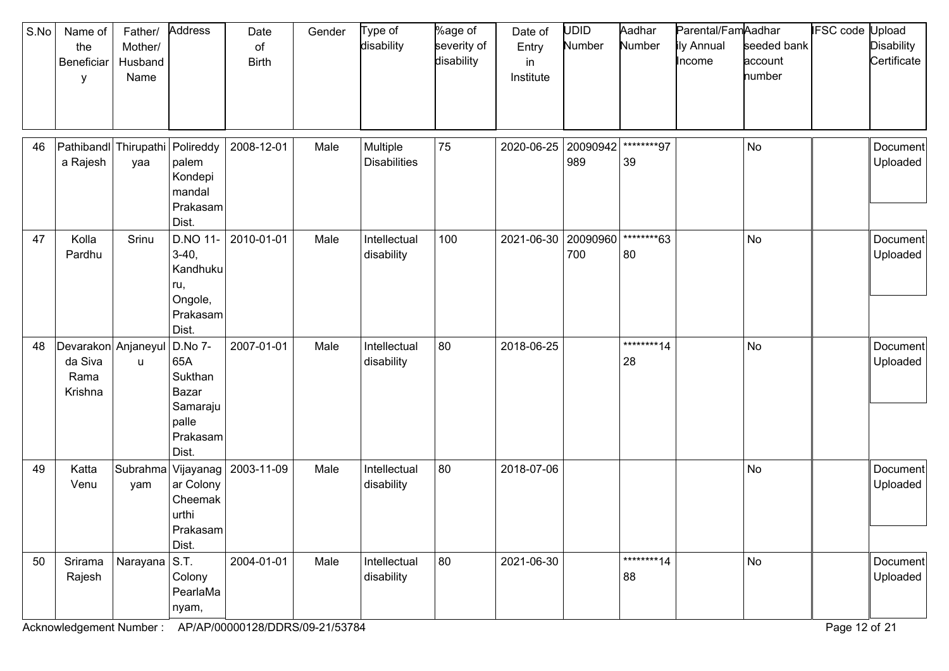| S.No | Name of<br>the<br>Beneficiar<br>y                 | Father/<br>Mother/<br>Husband<br>Name | Address                                                                      | Date<br>of<br><b>Birth</b> | Gender | Type of<br>disability           | %age of<br>severity of<br>disability | Date of<br>Entry<br>in<br>Institute | <b>UDID</b><br>Number | Aadhar<br>Number  | Parental/FamAadhar<br>ily Annual<br>Income | seeded bank<br>account<br>number | IFSC code Upload | <b>Disability</b><br>Certificate |
|------|---------------------------------------------------|---------------------------------------|------------------------------------------------------------------------------|----------------------------|--------|---------------------------------|--------------------------------------|-------------------------------------|-----------------------|-------------------|--------------------------------------------|----------------------------------|------------------|----------------------------------|
| 46   | Pathibandl Thirupathi<br>a Rajesh                 | yaa                                   | Polireddy<br>palem<br>Kondepi<br>mandal<br>Prakasam<br>Dist.                 | 2008-12-01                 | Male   | Multiple<br><b>Disabilities</b> | 75                                   | 2020-06-25                          | 20090942<br>989       | ********97<br>39  |                                            | <b>No</b>                        |                  | Document<br>Uploaded             |
| 47   | Kolla<br>Pardhu                                   | Srinu                                 | D.NO 11-<br>$3-40,$<br>Kandhuku<br>ru,<br>Ongole,<br>Prakasam<br>Dist.       | 2010-01-01                 | Male   | Intellectual<br>disability      | 100                                  | 2021-06-30                          | 20090960<br>700       | ********63<br>80  |                                            | <b>No</b>                        |                  | Document<br>Uploaded             |
| 48   | Devarakon Anjaneyul<br>da Siva<br>Rama<br>Krishna | u                                     | D.No 7-<br>65A<br>Sukthan<br>Bazar<br>Samaraju<br>palle<br>Prakasam<br>Dist. | 2007-01-01                 | Male   | Intellectual<br>disability      | 80                                   | 2018-06-25                          |                       | *********14<br>28 |                                            | No                               |                  | Document<br>Uploaded             |
| 49   | Katta<br>Venu                                     | Subrahma<br>yam                       | Vijayanag<br>ar Colony<br>Cheemak<br>urthi<br>Prakasam<br>Dist.              | 2003-11-09                 | Male   | Intellectual<br>disability      | 80                                   | 2018-07-06                          |                       |                   |                                            | No                               |                  | Document<br>Uploaded             |
| 50   | Srirama<br>Rajesh                                 | Narayana $ S.T.$                      | Colony<br>PearlaMa<br>nyam,                                                  | 2004-01-01                 | Male   | Intellectual<br>disability      | 80                                   | 2021-06-30                          |                       | ********14<br>88  |                                            | No                               |                  | Document<br>Uploaded             |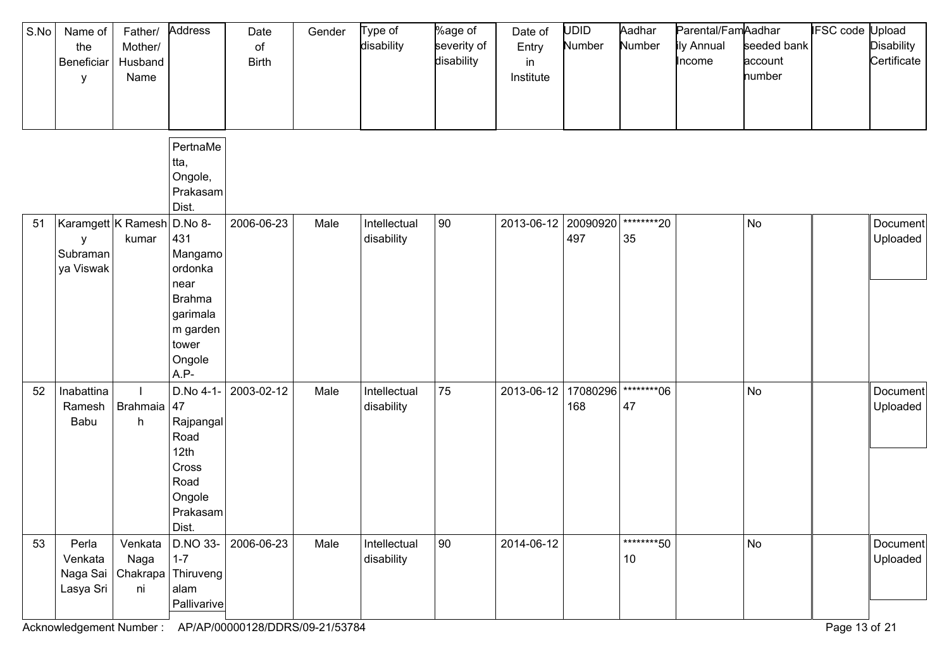| S.No | Name of<br>the<br>Beneficiar<br>У                        | Father/<br>Mother/<br>Husband<br>Name | Address                                                                                                 | Date<br>$\circ$ f<br><b>Birth</b> | Gender | Type of<br>disability      | %age of<br>severity of<br>disability | Date of<br>Entry<br>in<br>Institute | <b>UDID</b><br>Number | Aadhar<br>Number  | Parental/FamAadhar<br>ily Annual<br>Income | seeded bank<br>account<br>number | IFSC code | Jpload<br><b>Disability</b><br>Certificate |
|------|----------------------------------------------------------|---------------------------------------|---------------------------------------------------------------------------------------------------------|-----------------------------------|--------|----------------------------|--------------------------------------|-------------------------------------|-----------------------|-------------------|--------------------------------------------|----------------------------------|-----------|--------------------------------------------|
|      |                                                          |                                       | PertnaMe<br>tta,<br>Ongole,<br>Prakasam<br>Dist.                                                        |                                   |        |                            |                                      |                                     |                       |                   |                                            |                                  |           |                                            |
| 51   | Karamgett K Ramesh D.No 8-<br>y<br>Subraman<br>ya Viswak | kumar                                 | 431<br>Mangamo<br>ordonka<br>near<br><b>Brahma</b><br>garimala<br>m garden<br>tower<br>Ongole<br>$A.P-$ | 2006-06-23                        | Male   | Intellectual<br>disability | 90                                   | 2013-06-12 20090920                 | 497                   | *********20<br>35 |                                            | No                               |           | Document<br>Uploaded                       |
| 52   | Inabattina<br>Ramesh<br>Babu                             | Brahmaia<br>h                         | D.No 4-1-<br>47<br>Rajpangal<br>Road<br>12th<br>Cross<br>Road<br>Ongole<br>Prakasam<br>Dist.            | 2003-02-12                        | Male   | Intellectual<br>disability | 75                                   | 2013-06-12                          | 17080296<br>168       | ********06<br>47  |                                            | <b>No</b>                        |           | Document<br>Uploaded                       |
| 53   | Perla<br>Venkata<br>Lasya Sri                            | Venkata<br>Naga<br>ni                 | D.NO 33-<br>$1 - 7$<br>Naga Sai   Chakrapa   Thiruveng  <br>alam<br>Pallivarive                         | 2006-06-23                        | Male   | Intellectual<br>disability | 90                                   | 2014-06-12                          |                       | *********50<br>10 |                                            | No                               |           | Document<br>Uploaded                       |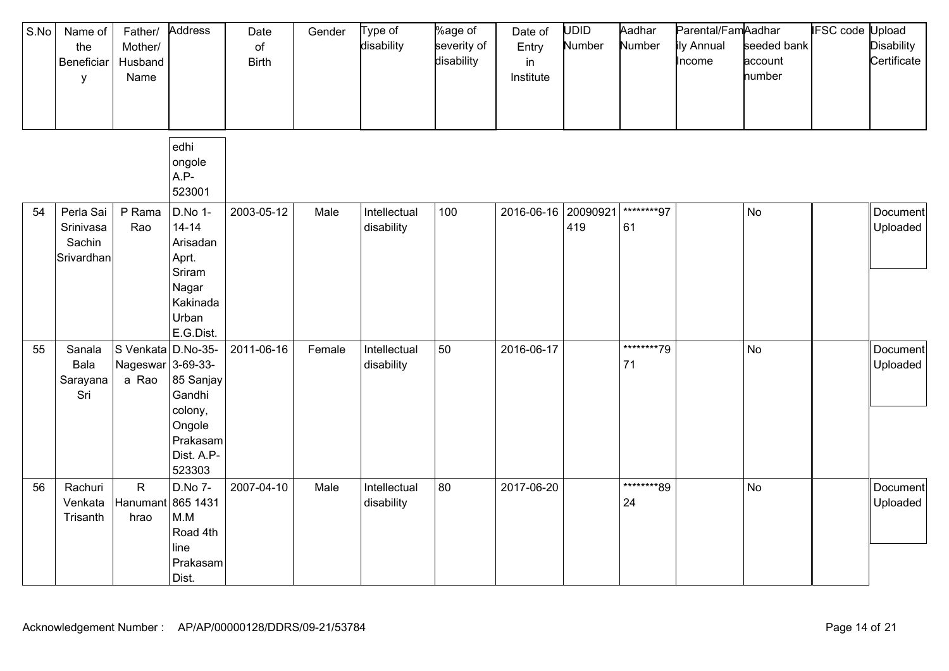| S.No | Name of<br>the<br>Beneficiar<br>у              | Father/<br>Mother/<br>Husband<br>Name            | Address                                                                                        | Date<br>of<br><b>Birth</b> | Gender | Type of<br>disability      | %age of<br>severity of<br>disability | Date of<br>Entry<br>in<br>Institute | <b>UDID</b><br>Number | Aadhar<br>Number | Parental/FamAadhar<br>ily Annual<br>Income | seeded bank<br>account<br>number | <b>IFSC</b> code | Upload<br><b>Disability</b><br>Certificate |
|------|------------------------------------------------|--------------------------------------------------|------------------------------------------------------------------------------------------------|----------------------------|--------|----------------------------|--------------------------------------|-------------------------------------|-----------------------|------------------|--------------------------------------------|----------------------------------|------------------|--------------------------------------------|
|      |                                                |                                                  | edhi<br>ongole<br>A.P-<br>523001                                                               |                            |        |                            |                                      |                                     |                       |                  |                                            |                                  |                  |                                            |
| 54   | Perla Sai<br>Srinivasa<br>Sachin<br>Srivardhan | P Rama<br>Rao                                    | D.No 1-<br>$14 - 14$<br>Arisadan<br>Aprt.<br>Sriram<br>Nagar<br>Kakinada<br>Urban<br>E.G.Dist. | 2003-05-12                 | Male   | Intellectual<br>disability | 100                                  | 2016-06-16 20090921                 | 419                   | ********97<br>61 |                                            | No                               |                  | Document<br>Uploaded                       |
| 55   | Sanala<br>Bala<br>Sarayana<br>Sri              | S Venkata D.No-35-<br>Nageswar 3-69-33-<br>a Rao | 85 Sanjay<br>Gandhi<br>colony,<br>Ongole<br>Prakasam<br>Dist. A.P-<br>523303                   | 2011-06-16                 | Female | Intellectual<br>disability | 50                                   | 2016-06-17                          |                       | ********79<br>71 |                                            | No                               |                  | Document<br>Uploaded                       |
| 56   | Rachuri<br>Venkata<br>Trisanth                 | $\mathsf{R}$<br>Hanumant<br>hrao                 | D.No 7-<br>865 1431<br>M.M<br>Road 4th<br>line<br>Prakasam<br>Dist.                            | 2007-04-10                 | Male   | Intellectual<br>disability | 80                                   | 2017-06-20                          |                       | ********89<br>24 |                                            | <b>No</b>                        |                  | Document<br>Uploaded                       |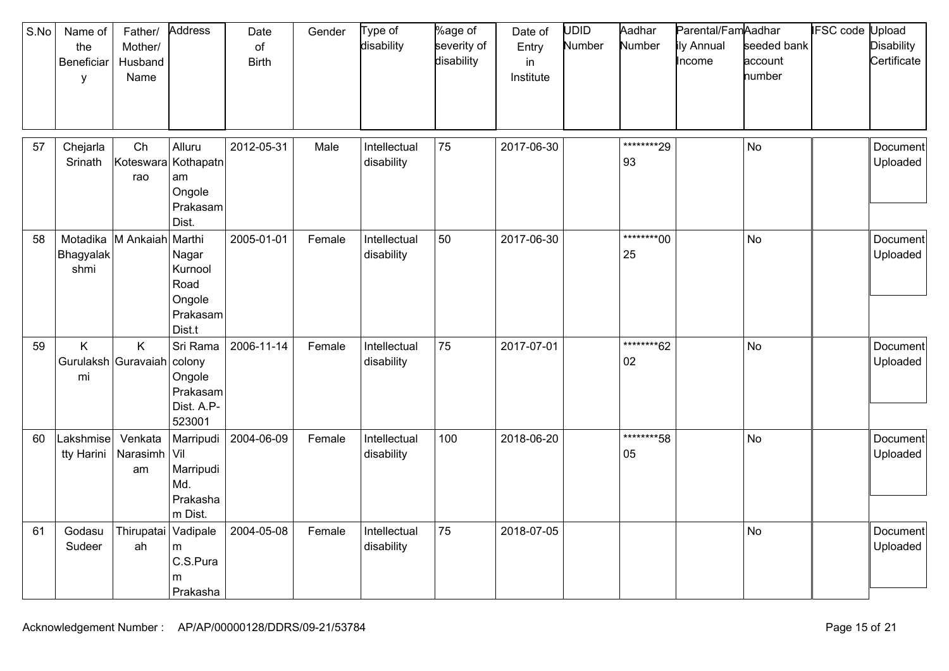| S.No | Name of<br>the<br>Beneficiar<br>y | Father/<br>Mother/<br>Husband<br>Name | Address                                                            | Date<br>of<br><b>Birth</b> | Gender | Type of<br>disability      | %age of<br>severity of<br>disability | Date of<br>Entry<br>in.<br>Institute | <b>UDID</b><br>Number | Aadhar<br>Number  | Parental/FamAadhar<br>ily Annual<br>Income | seeded bank<br>account<br>number | <b>IFSC code Upload</b> | <b>Disability</b><br>Certificate |
|------|-----------------------------------|---------------------------------------|--------------------------------------------------------------------|----------------------------|--------|----------------------------|--------------------------------------|--------------------------------------|-----------------------|-------------------|--------------------------------------------|----------------------------------|-------------------------|----------------------------------|
| 57   | Chejarla<br>Srinath               | Ch<br>Koteswara<br>rao                | Alluru<br>Kothapatn<br>am<br>Ongole<br>Prakasam<br>Dist.           | 2012-05-31                 | Male   | Intellectual<br>disability | 75                                   | 2017-06-30                           |                       | ********29<br>93  |                                            | <b>No</b>                        |                         | Document<br>Uploaded             |
| 58   | Motadika<br>Bhagyalak<br>shmi     | M Ankaiah                             | Marthi<br>Nagar<br>Kurnool<br>Road<br>Ongole<br>Prakasam<br>Dist.t | 2005-01-01                 | Female | Intellectual<br>disability | 50                                   | 2017-06-30                           |                       | *********00<br>25 |                                            | <b>No</b>                        |                         | Document<br>Uploaded             |
| 59   | Κ<br>Gurulaksh Guravaiah<br>mi    | K                                     | Sri Rama<br>colony<br>Ongole<br>Prakasam<br>Dist. A.P-<br>523001   | 2006-11-14                 | Female | Intellectual<br>disability | 75                                   | 2017-07-01                           |                       | *********62<br>02 |                                            | <b>No</b>                        |                         | Document<br>Uploaded             |
| 60   | Lakshmise $\mid$<br>tty Harini    | Venkata<br>Narasimh<br>am             | Marripudi<br>Vil<br>Marripudi<br>Md.<br>Prakasha<br>m Dist.        | 2004-06-09                 | Female | Intellectual<br>disability | 100                                  | 2018-06-20                           |                       | ********58<br>05  |                                            | <b>No</b>                        |                         | Document<br>Uploaded             |
| 61   | Godasu<br>Sudeer                  | Thirupatai<br>ah                      | Vadipale<br>m<br>C.S.Pura<br>m<br>Prakasha                         | 2004-05-08                 | Female | Intellectual<br>disability | 75                                   | 2018-07-05                           |                       |                   |                                            | <b>No</b>                        |                         | Document<br>Uploaded             |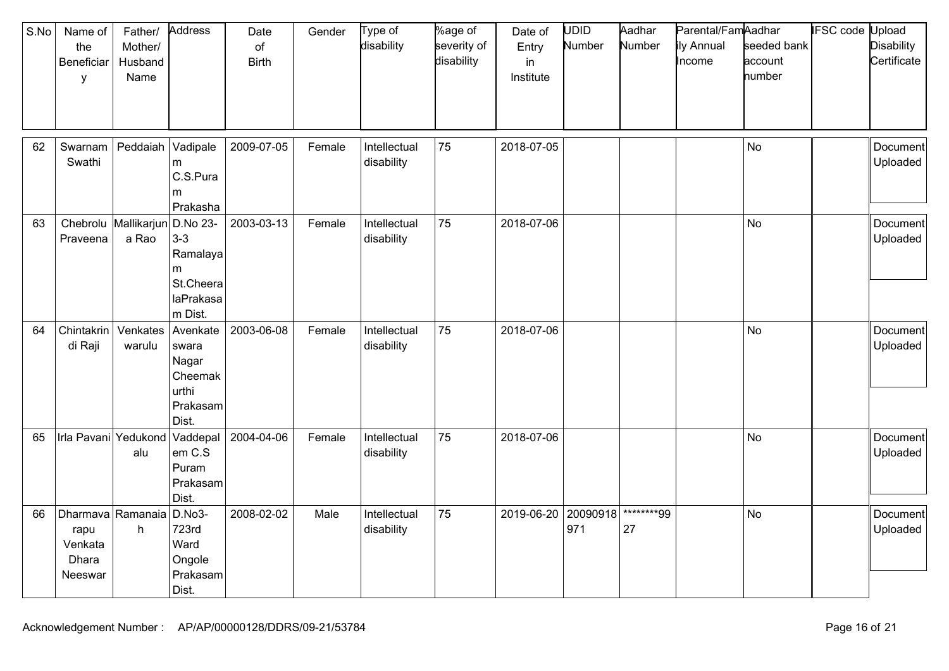| S.No | Name of<br>the<br>Beneficiar<br>y                        | Father/<br>Mother/<br>Husband<br>Name | Address                                                                 | Date<br>of<br><b>Birth</b> | Gender | Type of<br>disability      | %age of<br>severity of<br>disability | Date of<br>Entry<br>in<br>Institute | UDID<br>Number  | Aadhar<br>Number | Parental/FamAadhar<br>ily Annual<br>Income | seeded bank<br>account<br>number | IFSC code Upload | <b>Disability</b><br>Certificate |
|------|----------------------------------------------------------|---------------------------------------|-------------------------------------------------------------------------|----------------------------|--------|----------------------------|--------------------------------------|-------------------------------------|-----------------|------------------|--------------------------------------------|----------------------------------|------------------|----------------------------------|
| 62   | Swarnam<br>Swathi                                        | Peddaiah                              | Vadipale<br>m<br>C.S.Pura<br>m<br>Prakasha                              | 2009-07-05                 | Female | Intellectual<br>disability | 75                                   | 2018-07-05                          |                 |                  |                                            | No                               |                  | Document<br>Uploaded             |
| 63   | Praveena                                                 | Chebrolu Mallikarjun<br>a Rao         | D.No 23-<br>$3-3$<br>Ramalaya<br>m<br>St.Cheera<br>laPrakasa<br>m Dist. | 2003-03-13                 | Female | Intellectual<br>disability | 75                                   | 2018-07-06                          |                 |                  |                                            | No                               |                  | Document<br>Uploaded             |
| 64   | Chintakrin<br>di Raji                                    | Venkates<br>warulu                    | Avenkate<br>swara<br>Nagar<br>Cheemak<br>urthi<br>Prakasam<br>Dist.     | 2003-06-08                 | Female | Intellectual<br>disability | 75                                   | 2018-07-06                          |                 |                  |                                            | No                               |                  | Document<br>Uploaded             |
| 65   | Irla Pavani Yedukond                                     | alu                                   | Vaddepal<br>em C.S<br>Puram<br>Prakasam<br>Dist.                        | 2004-04-06                 | Female | Intellectual<br>disability | 75                                   | 2018-07-06                          |                 |                  |                                            | No                               |                  | Document<br>Uploaded             |
| 66   | Dharmava Ramanaia<br>rapu<br>Venkata<br>Dhara<br>Neeswar | h                                     | D.No3-<br>723rd<br>Ward<br>Ongole<br>Prakasam<br>Dist.                  | 2008-02-02                 | Male   | Intellectual<br>disability | 75                                   | 2019-06-20                          | 20090918<br>971 | ********99<br>27 |                                            | No                               |                  | Document<br>Uploaded             |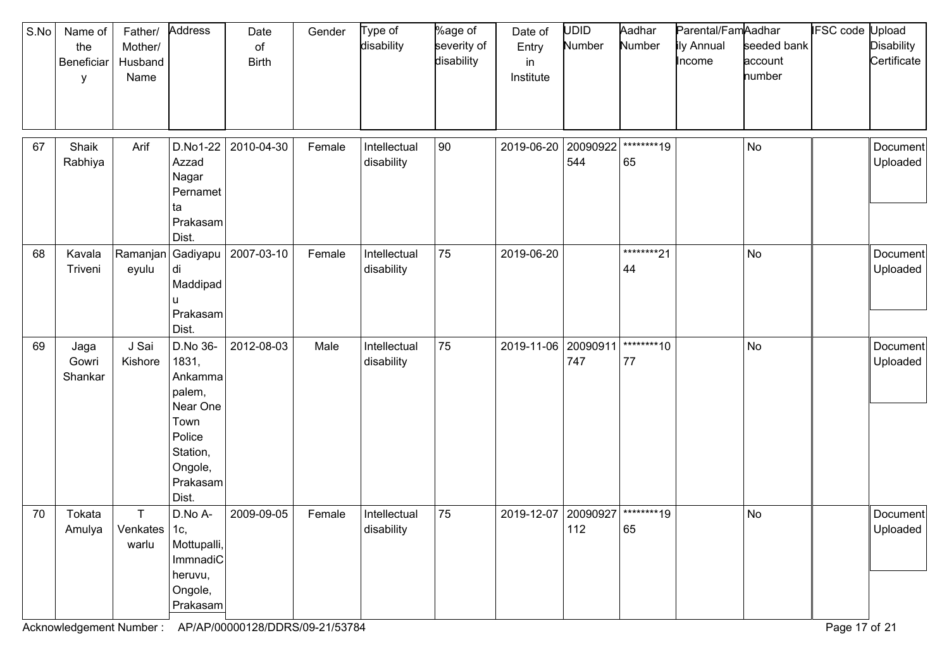| S.No | Name of<br>the<br>Beneficiar<br>у | Father/<br>Mother/<br>Husband<br>Name | Address                                                                                                          | Date<br>of<br><b>Birth</b> | Gender | Type of<br>disability      | %age of<br>severity of<br>disability | Date of<br>Entry<br>in<br>Institute | UDID<br>Number  | Aadhar<br>Number | Parental/FamAadhar<br>ily Annual<br>Income | seeded bank<br>account<br>number | <b>IFSC</b> code | Jpload<br><b>Disability</b><br>Certificate |
|------|-----------------------------------|---------------------------------------|------------------------------------------------------------------------------------------------------------------|----------------------------|--------|----------------------------|--------------------------------------|-------------------------------------|-----------------|------------------|--------------------------------------------|----------------------------------|------------------|--------------------------------------------|
| 67   | Shaik<br>Rabhiya                  | Arif                                  | D.No1-22<br>Azzad<br>Nagar<br>Pernamet<br>ta<br>Prakasam<br>Dist.                                                | 2010-04-30                 | Female | Intellectual<br>disability | 90                                   | 2019-06-20                          | 20090922<br>544 | ********19<br>65 |                                            | No                               |                  | Document<br>Uploaded                       |
| 68   | Kavala<br>Triveni                 | Ramanjan<br>eyulu                     | Gadiyapu<br>di<br>Maddipad<br>Prakasam<br>Dist.                                                                  | 2007-03-10                 | Female | Intellectual<br>disability | 75                                   | 2019-06-20                          |                 | ********21<br>44 |                                            | No                               |                  | Document<br>Uploaded                       |
| 69   | Jaga<br>Gowri<br>Shankar          | J Sai<br>Kishore                      | D.No 36-<br>1831,<br>Ankamma<br>palem,<br>Near One<br>Town<br>Police<br>Station,<br>Ongole,<br>Prakasam<br>Dist. | 2012-08-03                 | Male   | Intellectual<br>disability | 75                                   | 2019-11-06                          | 20090911<br>747 | ********10<br>77 |                                            | No                               |                  | Document<br>Uploaded                       |
| 70   | Tokata<br>Amulya                  | T.<br>Venkates   1c,<br>warlu         | D.No A-<br>Mottupalli,<br>ImmnadiC<br>heruvu,<br>Ongole,<br>Prakasam                                             | 2009-09-05                 | Female | Intellectual<br>disability | 75                                   | 2019-12-07                          | 20090927<br>112 | ********19<br>65 |                                            | No                               |                  | Document<br>Uploaded                       |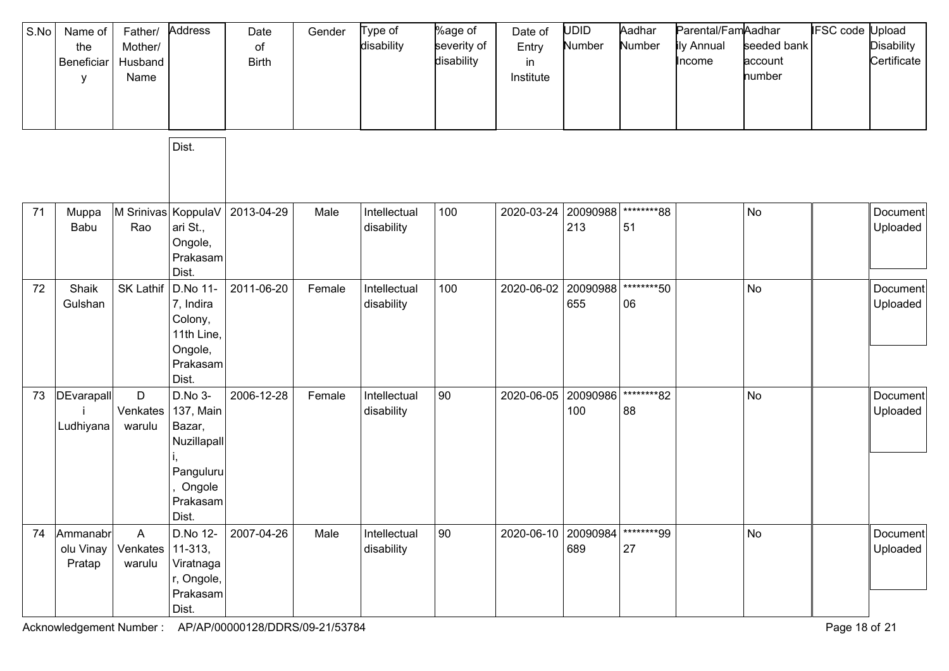| S.No | Name of<br>the<br>Beneficiar<br>у | Father/<br>Mother/<br>Husband<br>Name | Address                                                                                   | Date<br>of<br><b>Birth</b> | Gender | Type of<br>disability      | %age of<br>severity of<br>disability | Date of<br>Entry<br>in<br>Institute | <b>UDID</b><br>Number | Aadhar<br>Number | Parental/FamAadhar<br>ily Annual<br>Income | seeded bank<br>account<br>number | IFSC code | Jpload<br><b>Disability</b><br>Certificate |
|------|-----------------------------------|---------------------------------------|-------------------------------------------------------------------------------------------|----------------------------|--------|----------------------------|--------------------------------------|-------------------------------------|-----------------------|------------------|--------------------------------------------|----------------------------------|-----------|--------------------------------------------|
|      |                                   |                                       | Dist.                                                                                     |                            |        |                            |                                      |                                     |                       |                  |                                            |                                  |           |                                            |
| 71   | Muppa<br>Babu                     | Rao                                   | M Srinivas   KoppulaV  <br>ari St.,<br>Ongole,<br>Prakasam<br>Dist.                       | 2013-04-29                 | Male   | Intellectual<br>disability | 100                                  | 2020-03-24                          | 20090988<br>213       | ********88<br>51 |                                            | No                               |           | Document<br>Uploaded                       |
| 72   | Shaik<br>Gulshan                  | SK Lathif                             | D.No 11-<br>7, Indira<br>Colony,<br>11th Line,<br>Ongole,<br>Prakasam<br>Dist.            | 2011-06-20                 | Female | Intellectual<br>disability | 100                                  | 2020-06-02                          | 20090988<br>655       | ********50<br>06 |                                            | No                               |           | Document<br>Uploaded                       |
| 73   | <b>DEvarapall</b><br>Ludhiyana    | D<br>Venkates<br>warulu               | D.No 3-<br>137, Main<br>Bazar,<br>Nuzillapall<br>Panguluru<br>Ongole<br>Prakasam<br>Dist. | 2006-12-28                 | Female | Intellectual<br>disability | 90                                   | 2020-06-05                          | 20090986<br>100       | ********82<br>88 |                                            | No                               |           | Document<br>Uploaded                       |
| 74   | Ammanabr<br>olu Vinay<br>Pratap   | A<br>Venkates<br>warulu               | $11-313,$<br>Viratnaga<br>r, Ongole,<br>Prakasam<br>Dist.                                 | D.No 12- 2007-04-26        | Male   | Intellectual<br>disability | 90                                   | 2020-06-10 20090984                 | 689                   | ********99<br>27 |                                            | No                               |           | Document<br>Uploaded                       |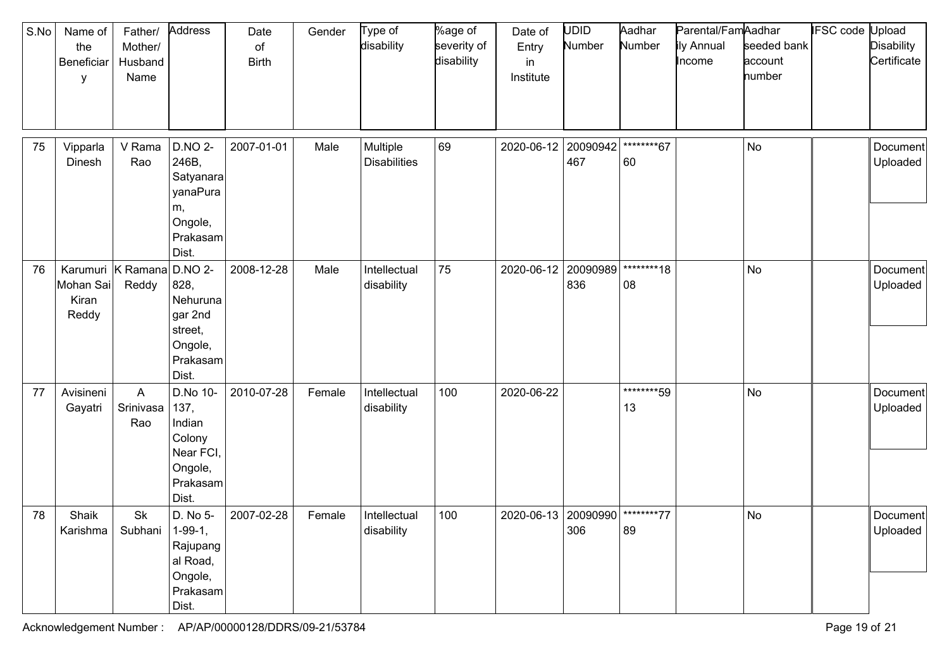| S.No | Name of<br>the<br>Beneficiar<br>У | Father/<br>Mother/<br>Husband<br>Name | Address                                                                                  | Date<br>of<br><b>Birth</b> | Gender | Type of<br>disability           | %age of<br>severity of<br>disability | Date of<br>Entry<br>in<br>Institute | UDID<br>Number  | Aadhar<br>Number | Parental/FamAadhar<br>ily Annual<br>Income | seeded bank<br>account<br>number | <b>IFSC code Upload</b> | <b>Disability</b><br>Certificate |
|------|-----------------------------------|---------------------------------------|------------------------------------------------------------------------------------------|----------------------------|--------|---------------------------------|--------------------------------------|-------------------------------------|-----------------|------------------|--------------------------------------------|----------------------------------|-------------------------|----------------------------------|
| 75   | Vipparla<br>Dinesh                | V Rama<br>Rao                         | <b>D.NO 2-</b><br>246B,<br>Satyanara<br>yanaPura<br>m,<br>Ongole,<br>Prakasam<br>Dist.   | 2007-01-01                 | Male   | Multiple<br><b>Disabilities</b> | 69                                   | 2020-06-12                          | 20090942<br>467 | ********67<br>60 |                                            | No                               |                         | Document<br>Uploaded             |
| 76   | Mohan Sai<br>Kiran<br>Reddy       | Karumuri   K Ramana<br>Reddy          | <b>D.NO 2-</b><br>828,<br>Nehuruna<br>gar 2nd<br>street,<br>Ongole,<br>Prakasam<br>Dist. | 2008-12-28                 | Male   | Intellectual<br>disability      | 75                                   | 2020-06-12                          | 20090989<br>836 | ********18<br>08 |                                            | No                               |                         | Document<br>Uploaded             |
| 77   | Avisineni<br>Gayatri              | A<br>Srinivasa<br>Rao                 | D.No 10-<br>137,<br>Indian<br>Colony<br>Near FCI,<br>Ongole,<br>Prakasam<br>Dist.        | 2010-07-28                 | Female | Intellectual<br>disability      | 100                                  | 2020-06-22                          |                 | ********59<br>13 |                                            | No                               |                         | Document<br>Uploaded             |
| 78   | Shaik<br>Karishma                 | Sk<br>Subhani                         | D. No 5-<br>$1-99-1,$<br>Rajupang<br>al Road,<br>Ongole,<br>Prakasam<br>Dist.            | 2007-02-28                 | Female | Intellectual<br>disability      | 100                                  | 2020-06-13   20090990   ********77  | 306             | 89               |                                            | No                               |                         | Document<br>Uploaded             |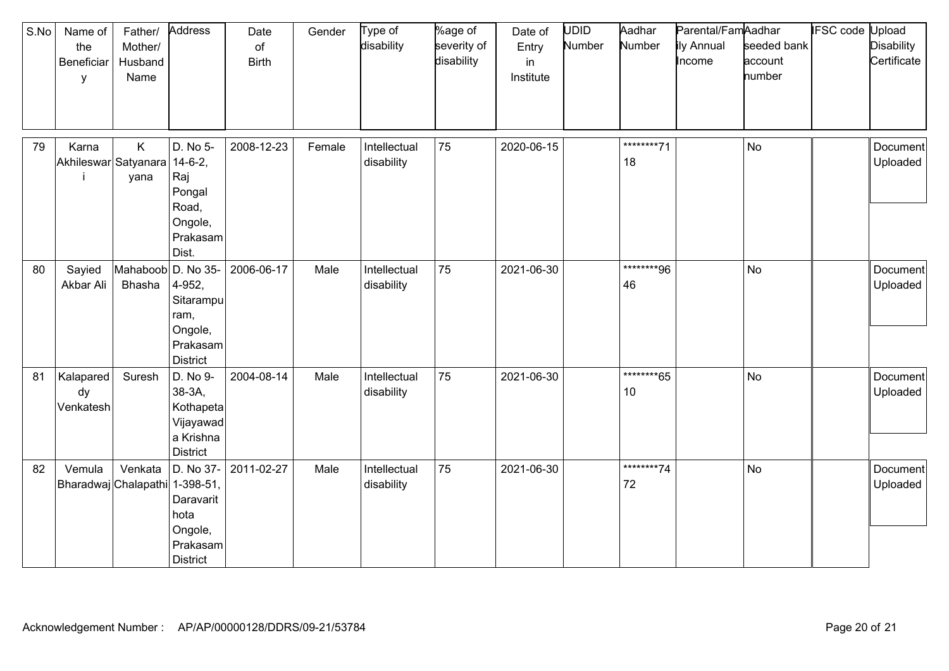| S.No | Name of<br>the<br>Beneficiar<br>у     | Father/<br>Mother/<br>Husband<br>Name | Address                                                                                    | Date<br>of<br><b>Birth</b> | Gender | Type of<br>disability      | %age of<br>severity of<br>disability | Date of<br>Entry<br>in<br>Institute | UDID<br>Number | Aadhar<br>Number | Parental/FamAadhar<br>ily Annual<br>Income | seeded bank<br>account<br>number | <b>IFSC code Upload</b> | <b>Disability</b><br>Certificate |
|------|---------------------------------------|---------------------------------------|--------------------------------------------------------------------------------------------|----------------------------|--------|----------------------------|--------------------------------------|-------------------------------------|----------------|------------------|--------------------------------------------|----------------------------------|-------------------------|----------------------------------|
| 79   | Karna<br>Akhileswar Satyanara 14-6-2, | K<br>yana                             | D. No 5-<br>Raj<br>Pongal<br>Road,<br>Ongole,<br>Prakasam<br>Dist.                         | 2008-12-23                 | Female | Intellectual<br>disability | 75                                   | 2020-06-15                          |                | ********71<br>18 |                                            | No                               |                         | Document<br>Uploaded             |
| 80   | Sayied<br>Akbar Ali                   | Mahaboob D. No 35-<br>Bhasha          | 4-952,<br>Sitarampu<br>ram,<br>Ongole,<br>Prakasam<br><b>District</b>                      | 2006-06-17                 | Male   | Intellectual<br>disability | 75                                   | 2021-06-30                          |                | ********96<br>46 |                                            | <b>No</b>                        |                         | Document<br>Uploaded             |
| 81   | Kalapared<br>dy<br>Venkatesh          | Suresh                                | D. No 9-<br>38-3A,<br>Kothapeta<br>Vijayawad<br>a Krishna<br><b>District</b>               | 2004-08-14                 | Male   | Intellectual<br>disability | 75                                   | 2021-06-30                          |                | ********65<br>10 |                                            | <b>No</b>                        |                         | Document<br>Uploaded             |
| 82   | Vemula                                | Venkata<br>Bharadwaj Chalapathi       | D. No 37-<br>$1 - 398 - 51$<br>Daravarit<br>hota<br>Ongole,<br>Prakasam<br><b>District</b> | 2011-02-27                 | Male   | Intellectual<br>disability | 75                                   | 2021-06-30                          |                | ********74<br>72 |                                            | <b>No</b>                        |                         | Document<br>Uploaded             |